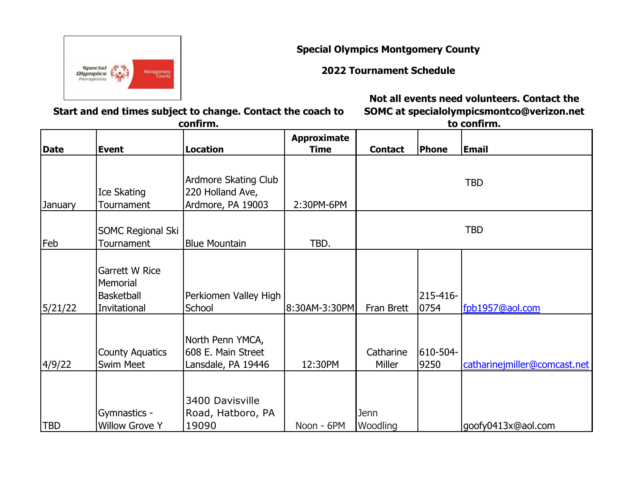**Special**<br>**Olympics** Montgomery<br>County

**Special Olympics Montgomery County**

**2022 Tournament Schedule**

**Not all events need volunteers. Contact the** 

**Start and end times subject to change. Contact the coach to confirm.**

**SOMC at specialolympicsmontco@verizon.net to confirm.**

|             |                                                                 |                                                                      | <b>Approximate</b> |                     |                  |                              |
|-------------|-----------------------------------------------------------------|----------------------------------------------------------------------|--------------------|---------------------|------------------|------------------------------|
| <b>Date</b> | <b>Event</b>                                                    | <b>Location</b>                                                      | <b>Time</b>        | <b>Contact</b>      | Phone            | <b>Email</b>                 |
| January     | Ice Skating<br>Tournament                                       | <b>Ardmore Skating Club</b><br>220 Holland Ave,<br>Ardmore, PA 19003 | 2:30PM-6PM         |                     |                  | <b>TBD</b>                   |
| Feb         | <b>SOMC Regional Ski</b><br>Tournament                          | <b>Blue Mountain</b>                                                 | TBD.               |                     |                  | <b>TBD</b>                   |
| 5/21/22     | Garrett W Rice<br>Memorial<br><b>Basketball</b><br>Invitational | Perkiomen Valley High<br>School                                      | 8:30AM-3:30PM      | Fran Brett          | 215-416-<br>0754 | fpb1957@aol.com              |
| 4/9/22      | <b>County Aquatics</b><br><b>Swim Meet</b>                      | North Penn YMCA,<br>608 E. Main Street<br>Lansdale, PA 19446         | 12:30PM            | Catharine<br>Miller | 610-504-<br>9250 | catharinejmiller@comcast.net |
| <b>TBD</b>  | Gymnastics -<br><b>Willow Grove Y</b>                           | 3400 Davisville<br>Road, Hatboro, PA<br>19090                        | Noon - 6PM         | Jenn<br>Woodling    |                  | goofy0413x@aol.com           |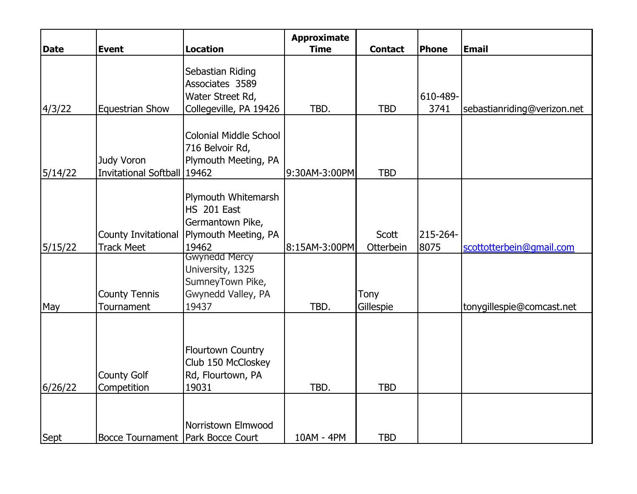| Date    | <b>Event</b>                              | <b>Location</b>                                                                         | <b>Approximate</b><br><b>Time</b> | <b>Contact</b>     | Phone            | <b>Email</b>                |
|---------|-------------------------------------------|-----------------------------------------------------------------------------------------|-----------------------------------|--------------------|------------------|-----------------------------|
| 4/3/22  | <b>Equestrian Show</b>                    | Sebastian Riding<br>Associates 3589<br>Water Street Rd,<br>Collegeville, PA 19426       | TBD.                              | <b>TBD</b>         | 610-489-<br>3741 | sebastianriding@verizon.net |
| 5/14/22 | Judy Voron<br>Invitational Softball 19462 | <b>Colonial Middle School</b><br>716 Belvoir Rd,<br>Plymouth Meeting, PA                | 9:30AM-3:00PM                     | <b>TBD</b>         |                  |                             |
| 5/15/22 | County Invitational<br><b>Track Meet</b>  | Plymouth Whitemarsh<br>HS 201 East<br>Germantown Pike,<br>Plymouth Meeting, PA<br>19462 | 8:15AM-3:00PM                     | Scott<br>Otterbein | 215-264-<br>8075 | scottotterbein@gmail.com    |
| May     | <b>County Tennis</b><br>Tournament        | Gwynedd Mercy<br>University, 1325<br>SumneyTown Pike,<br>Gwynedd Valley, PA<br>19437    | TBD.                              | Tony<br>Gillespie  |                  | tonygillespie@comcast.net   |
| 6/26/22 | <b>County Golf</b><br>Competition         | <b>Flourtown Country</b><br>Club 150 McCloskey<br>Rd, Flourtown, PA<br>19031            | TBD.                              | <b>TBD</b>         |                  |                             |
| Sept    | Bocce Tournament   Park Bocce Court       | Norristown Elmwood                                                                      | 10AM - 4PM                        | <b>TBD</b>         |                  |                             |